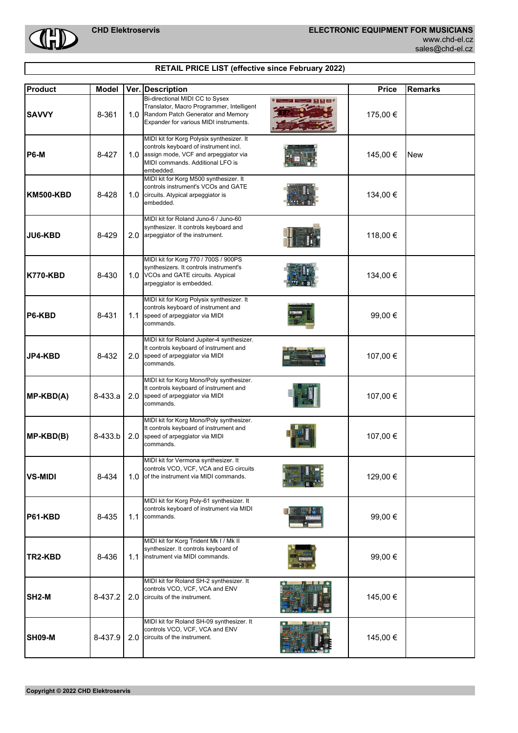CHI

| sales@chd-el.cz |  |  |  |
|-----------------|--|--|--|
|                 |  |  |  |

| RETAIL PRICE LIST (effective since February 2022) |  |  |
|---------------------------------------------------|--|--|
|                                                   |  |  |

| <b>Product</b>     | Model   |     | Ver. Description                                                                                                                                                            | <b>Price</b> | <b>Remarks</b> |
|--------------------|---------|-----|-----------------------------------------------------------------------------------------------------------------------------------------------------------------------------|--------------|----------------|
| <b>SAVVY</b>       | 8-361   | 1.0 | Bi-directional MIDI CC to Sysex<br>Translator, Macro Programmer, Intelligent<br>Random Patch Generator and Memory<br>Expander for various MIDI instruments.                 | 175,00 €     |                |
| <b>P6-M</b>        | 8-427   | 1.0 | MIDI kit for Korg Polysix synthesizer. It<br>controls keyboard of instrument incl.<br>assign mode, VCF and arpeggiator via<br>MIDI commands. Additional LFO is<br>embedded. | 145,00 €     | <b>New</b>     |
| KM500-KBD          | 8-428   | 1.0 | MIDI kit for Korg M500 synthesizer. It<br>controls instrument's VCOs and GATE<br>circuits. Atypical arpeggiator is<br>embedded.                                             | 134,00 €     |                |
| JU6-KBD            | 8-429   |     | MIDI kit for Roland Juno-6 / Juno-60<br>synthesizer. It controls keyboard and<br>2.0 arpeggiator of the instrument.                                                         | 118,00 €     |                |
| <b>K770-KBD</b>    | 8-430   |     | MIDI kit for Korg 770 / 700S / 900PS<br>synthesizers. It controls instrument's<br>1.0 VCOs and GATE circuits. Atypical<br>arpeggiator is embedded.                          | 134,00 €     |                |
| <b>P6-KBD</b>      | 8-431   | 1.1 | MIDI kit for Korg Polysix synthesizer. It<br>controls keyboard of instrument and<br>speed of arpeggiator via MIDI<br>commands.                                              | 99,00 €      |                |
| JP4-KBD            | 8-432   | 2.0 | MIDI kit for Roland Jupiter-4 synthesizer.<br>It controls keyboard of instrument and<br>speed of arpeggiator via MIDI<br>commands.                                          | 107,00 €     |                |
| MP-KBD(A)          | 8-433.a | 2.0 | MIDI kit for Korg Mono/Poly synthesizer.<br>It controls keyboard of instrument and<br>speed of arpeggiator via MIDI<br>commands.                                            | 107,00 €     |                |
| $MP$ - $KBD(B)$    | 8-433.b | 2.0 | MIDI kit for Korg Mono/Poly synthesizer.<br>It controls keyboard of instrument and<br>speed of arpeggiator via MIDI<br>commands.                                            | 107,00 €     |                |
| <b>VS-MIDI</b>     | 8-434   |     | MIDI kit for Vermona synthesizer. It<br>controls VCO, VCF, VCA and EG circuits<br>1.0 of the instrument via MIDI commands.                                                  | 129,00 €     |                |
| <b>P61-KBD</b>     | 8-435   | 1.1 | MIDI kit for Korg Poly-61 synthesizer. It<br>controls keyboard of instrument via MIDI<br>commands.                                                                          | 99,00 €      |                |
| TR2-KBD            | 8-436   | 1.1 | MIDI kit for Korg Trident Mk I / Mk II<br>synthesizer. It controls keyboard of<br>instrument via MIDI commands.                                                             | 99,00 €      |                |
| SH <sub>2</sub> -M | 8-437.2 | 2.0 | MIDI kit for Roland SH-2 synthesizer. It<br>controls VCO, VCF, VCA and ENV<br>circuits of the instrument.                                                                   | 145,00 €     |                |
| <b>SH09-M</b>      | 8-437.9 | 2.0 | MIDI kit for Roland SH-09 synthesizer. It<br>controls VCO, VCF, VCA and ENV<br>circuits of the instrument.                                                                  | 145,00 €     |                |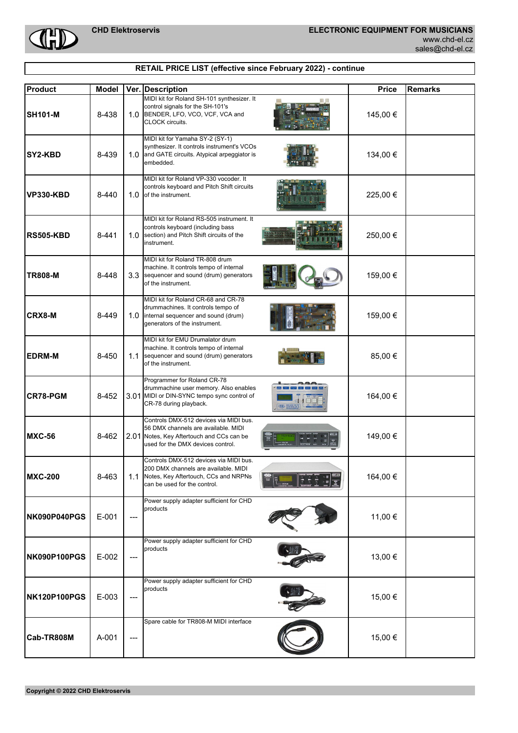

## **RETAIL PRICE LIST (effective since February 2022) - continue**

| <b>Product</b>      | <b>Model</b> |       | Ver. Description                                                                                                                                                         | <b>Price</b> | <b>Remarks</b> |
|---------------------|--------------|-------|--------------------------------------------------------------------------------------------------------------------------------------------------------------------------|--------------|----------------|
| <b>SH101-M</b>      | 8-438        | 1.0   | MIDI kit for Roland SH-101 synthesizer. It<br>control signals for the SH-101's<br>BENDER, LFO, VCO, VCF, VCA and<br>CLOCK circuits.                                      | 145,00 €     |                |
| SY2-KBD             | 8-439        | 1.0   | MIDI kit for Yamaha SY-2 (SY-1)<br>synthesizer. It controls instrument's VCOs<br>and GATE circuits. Atypical arpeggiator is<br>embedded.                                 | 134,00 €     |                |
| <b>VP330-KBD</b>    | 8-440        | 1.0   | MIDI kit for Roland VP-330 vocoder. It<br>controls keyboard and Pitch Shift circuits<br>of the instrument.                                                               | 225,00 €     |                |
| <b>RS505-KBD</b>    | 8-441        | 1.0   | MIDI kit for Roland RS-505 instrument. It<br>controls keyboard (including bass<br>section) and Pitch Shift circuits of the<br>instrument.                                | 250,00 €     |                |
| <b>TR808-M</b>      | 8-448        | 3.3   | MIDI kit for Roland TR-808 drum<br>machine. It controls tempo of internal<br>sequencer and sound (drum) generators<br>of the instrument.                                 | 159,00 €     |                |
| <b>CRX8-M</b>       | 8-449        | 1.0   | MIDI kit for Roland CR-68 and CR-78<br>drummachines. It controls tempo of<br>internal sequencer and sound (drum)<br>generators of the instrument.                        | 159,00 €     |                |
| <b>EDRM-M</b>       | 8-450        | 1.1   | MIDI kit for EMU Drumalator drum<br>machine. It controls tempo of internal<br>sequencer and sound (drum) generators<br>of the instrument.                                | 85,00 €      |                |
| CR78-PGM            | 8-452        |       | Programmer for Roland CR-78<br>drummachine user memory. Also enables<br>3.01 MIDI or DIN-SYNC tempo sync control of<br>CR-78 during playback.<br><b>CHD</b> CONTROLLER A | 164,00 €     |                |
| <b>MXC-56</b>       | 8-462        |       | Controls DMX-512 devices via MIDI bus.<br>56 DMX channels are available. MIDI<br>2.01 Notes, Key Aftertouch and CCs can be<br>used for the DMX devices control.          | 149,00 €     |                |
| <b>MXC-200</b>      | 8-463        |       | Controls DMX-512 devices via MIDI bus.<br>200 DMX channels are available. MIDI<br>1.1 Notes, Key Aftertouch, CCs and NRPNs<br>can be used for the control.               | 164,00 €     |                |
| NK090P040PGS        | $E-001$      | $---$ | Power supply adapter sufficient for CHD<br>products                                                                                                                      | 11,00 €      |                |
| NK090P100PGS        | E-002        | $---$ | Power supply adapter sufficient for CHD<br>products                                                                                                                      | 13,00 €      |                |
| <b>NK120P100PGS</b> | E-003        | $---$ | Power supply adapter sufficient for CHD<br>products                                                                                                                      | 15,00 €      |                |
| Cab-TR808M          | A-001        | ---   | Spare cable for TR808-M MIDI interface                                                                                                                                   | 15,00 €      |                |